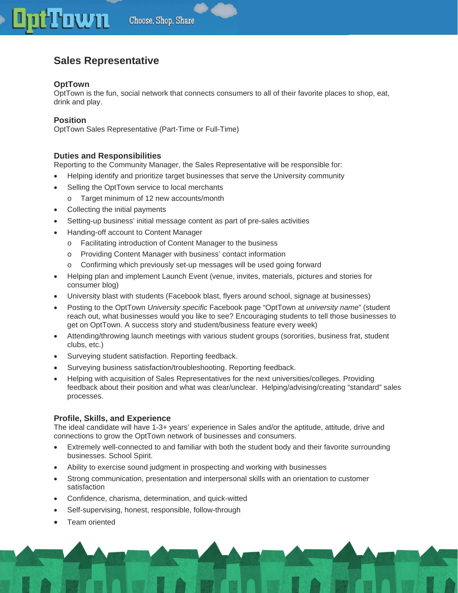## **Town** Choose, Shop, Share

# **Sales Representative**

## **OptTown**

OptTown is the fun, social network that connects consumers to all of their favorite places to shop, eat, drink and play.

## **Position**

OptTown Sales Representative (Part-Time or Full-Time)

## **Duties and Responsibilities**

Reporting to the Community Manager, the Sales Representative will be responsible for:

- Helping identify and prioritize target businesses that serve the University community
- Selling the OptTown service to local merchants
	- o Target minimum of 12 new accounts/month
- Collecting the initial payments
- Setting-up business' initial message content as part of pre-sales activities
- Handing-off account to Content Manager
	- o Facilitating introduction of Content Manager to the business
	- o Providing Content Manager with business' contact information
	- o Confirming which previously set-up messages will be used going forward
- Helping plan and implement Launch Event (venue, invites, materials, pictures and stories for consumer blog)
- University blast with students (Facebook blast, flyers around school, signage at businesses)
- Posting to the OptTown *University specific* Facebook page "OptTown at *university name*" (student reach out, what businesses would you like to see? Encouraging students to tell those businesses to get on OptTown. A success story and student/business feature every week)
- Attending/throwing launch meetings with various student groups (sororities, business frat, student clubs, etc.)
- Surveying student satisfaction. Reporting feedback.
- Surveying business satisfaction/troubleshooting. Reporting feedback.
- Helping with acquisition of Sales Representatives for the next universities/colleges. Providing feedback about their position and what was clear/unclear. Helping/advising/creating "standard" sales processes.

#### **Profile, Skills, and Experience**

The ideal candidate will have 1-3+ years' experience in Sales and/or the aptitude, attitude, drive and connections to grow the OptTown network of businesses and consumers.

- Extremely well-connected to and familiar with both the student body and their favorite surrounding businesses. School Spirit.
- Ability to exercise sound judgment in prospecting and working with businesses
- Strong communication, presentation and interpersonal skills with an orientation to customer satisfaction
- Confidence, charisma, determination, and quick-witted
- Self-supervising, honest, responsible, follow-through
- Team oriented